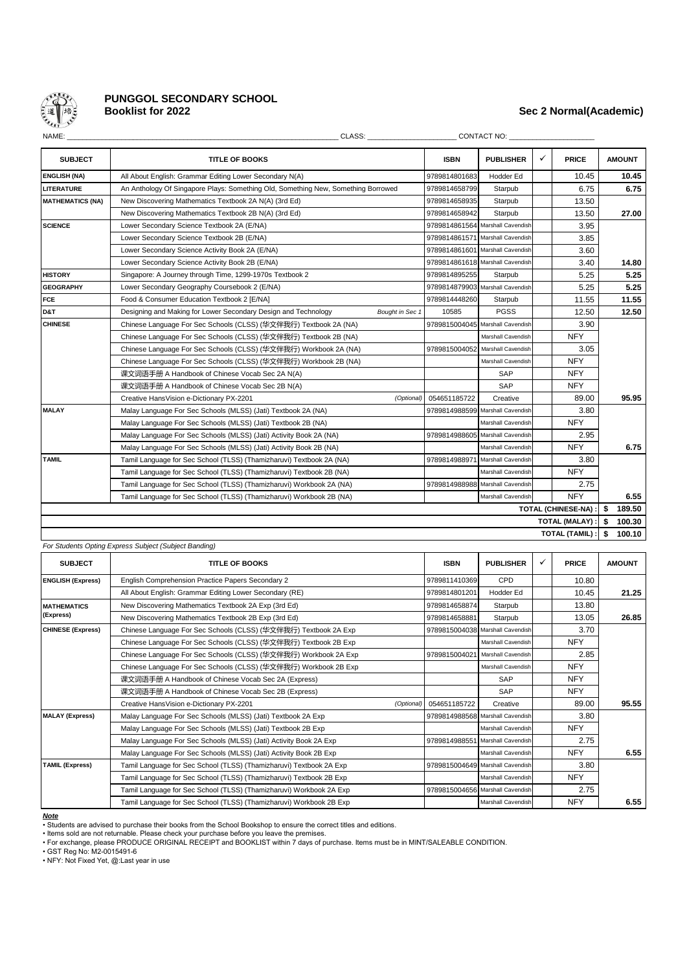

# **PUNGGOL SECONDARY SCHOOL**

# **Booklist for 2022 Sec 2 Normal(Academic)**

| w<br>۰,<br>۰, |  |
|---------------|--|
|               |  |

| <b>SUBJECT</b>          | <b>TITLE OF BOOKS</b>                                                             | <b>ISBN</b>                      | <b>PUBLISHER</b>                 | ✓<br><b>PRICE</b>     |    | <b>AMOUNT</b> |  |  |  |
|-------------------------|-----------------------------------------------------------------------------------|----------------------------------|----------------------------------|-----------------------|----|---------------|--|--|--|
| <b>ENGLISH (NA)</b>     | All About English: Grammar Editing Lower Secondary N(A)                           | 9789814801683                    | Hodder Ed                        | 10.45                 |    | 10.45         |  |  |  |
| <b>LITERATURE</b>       | An Anthology Of Singapore Plays: Something Old, Something New, Something Borrowed | 9789814658799                    | Starpub                          | 6.75                  |    | 6.75          |  |  |  |
| <b>MATHEMATICS (NA)</b> | New Discovering Mathematics Textbook 2A N(A) (3rd Ed)                             | 9789814658935                    | Starpub                          | 13.50                 |    |               |  |  |  |
|                         | New Discovering Mathematics Textbook 2B N(A) (3rd Ed)                             | 9789814658942                    | Starpub                          | 13.50                 |    | 27.00         |  |  |  |
| <b>SCIENCE</b>          | Lower Secondary Science Textbook 2A (E/NA)                                        |                                  | 9789814861564 Marshall Cavendish | 3.95                  |    |               |  |  |  |
|                         | Lower Secondary Science Textbook 2B (E/NA)                                        |                                  | 9789814861571 Marshall Cavendish | 3.85                  |    |               |  |  |  |
|                         | Lower Secondary Science Activity Book 2A (E/NA)                                   |                                  | 9789814861601 Marshall Cavendish | 3.60                  |    |               |  |  |  |
|                         | Lower Secondary Science Activity Book 2B (E/NA)                                   |                                  | 9789814861618 Marshall Cavendish | 3.40                  |    | 14.80         |  |  |  |
| <b>HISTORY</b>          | Singapore: A Journey through Time, 1299-1970s Textbook 2                          | 9789814895255                    | Starpub                          | 5.25                  |    | 5.25          |  |  |  |
| <b>GEOGRAPHY</b>        | Lower Secondary Geography Coursebook 2 (E/NA)                                     |                                  | 9789814879903 Marshall Cavendish | 5.25                  |    | 5.25          |  |  |  |
| <b>FCE</b>              | Food & Consumer Education Textbook 2 [E/NA]                                       | 9789814448260                    | Starpub                          | 11.55                 |    | 11.55         |  |  |  |
| D&T                     | Designing and Making for Lower Secondary Design and Technology<br>Bought in Sec 1 | 10585                            | <b>PGSS</b>                      | 12.50                 |    | 12.50         |  |  |  |
| <b>CHINESE</b>          | Chinese Language For Sec Schools (CLSS) (华文伴我行) Textbook 2A (NA)                  |                                  | 9789815004045 Marshall Cavendish | 3.90                  |    |               |  |  |  |
|                         | Chinese Language For Sec Schools (CLSS) (华文伴我行) Textbook 2B (NA)                  |                                  | Marshall Cavendish               | <b>NFY</b>            |    |               |  |  |  |
|                         | Chinese Language For Sec Schools (CLSS) (华文伴我行) Workbook 2A (NA)                  | 9789815004052 Marshall Cavendish |                                  | 3.05                  |    |               |  |  |  |
|                         | Chinese Language For Sec Schools (CLSS) (华文伴我行) Workbook 2B (NA)                  |                                  | Marshall Cavendish               | <b>NFY</b>            |    |               |  |  |  |
|                         | 课文词语手册 A Handbook of Chinese Vocab Sec 2A N(A)                                    |                                  | SAP                              | <b>NFY</b>            |    |               |  |  |  |
|                         | 课文词语手册 A Handbook of Chinese Vocab Sec 2B N(A)                                    |                                  | SAP                              | <b>NFY</b>            |    |               |  |  |  |
|                         | Creative HansVision e-Dictionary PX-2201<br>(Optional)                            | 054651185722                     | Creative                         | 89.00                 |    | 95.95         |  |  |  |
| <b>MALAY</b>            | Malay Language For Sec Schools (MLSS) (Jati) Textbook 2A (NA)                     |                                  | 9789814988599 Marshall Cavendish | 3.80                  |    |               |  |  |  |
|                         | Malay Language For Sec Schools (MLSS) (Jati) Textbook 2B (NA)                     |                                  | Marshall Cavendish               | <b>NFY</b>            |    |               |  |  |  |
|                         | Malay Language For Sec Schools (MLSS) (Jati) Activity Book 2A (NA)                |                                  | 9789814988605 Marshall Cavendish | 2.95                  |    |               |  |  |  |
|                         | Malay Language For Sec Schools (MLSS) (Jati) Activity Book 2B (NA)                |                                  | Marshall Cavendish               | <b>NFY</b>            |    | 6.75          |  |  |  |
| <b>TAMIL</b>            | Tamil Language for Sec School (TLSS) (Thamizharuvi) Textbook 2A (NA)              | 9789814988971                    | <b>Marshall Cavendish</b>        | 3.80                  |    |               |  |  |  |
|                         | Tamil Language for Sec School (TLSS) (Thamizharuvi) Textbook 2B (NA)              |                                  | Marshall Cavendish               | <b>NFY</b>            |    |               |  |  |  |
|                         | Tamil Language for Sec School (TLSS) (Thamizharuvi) Workbook 2A (NA)              |                                  | 9789814988988 Marshall Cavendish | 2.75                  |    |               |  |  |  |
|                         | Tamil Language for Sec School (TLSS) (Thamizharuvi) Workbook 2B (NA)              |                                  | Marshall Cavendish               | <b>NFY</b>            |    | 6.55          |  |  |  |
| TOTAL (CHINESE-NA) :    |                                                                                   |                                  |                                  |                       |    |               |  |  |  |
|                         |                                                                                   |                                  |                                  | <b>TOTAL (MALAY):</b> | \$ | 100.30        |  |  |  |
|                         |                                                                                   |                                  |                                  | <b>TOTAL (TAMIL)</b>  | \$ | 100.10        |  |  |  |

| <b>SUBJECT</b>           | <b>TITLE OF BOOKS</b>                                               | <b>ISBN</b>   | <b>PUBLISHER</b>                 | ✓ | <b>PRICE</b> | <b>AMOUNT</b> |
|--------------------------|---------------------------------------------------------------------|---------------|----------------------------------|---|--------------|---------------|
| <b>ENGLISH (Express)</b> | English Comprehension Practice Papers Secondary 2                   | 9789811410369 | CPD                              |   | 10.80        |               |
|                          | All About English: Grammar Editing Lower Secondary (RE)             | 9789814801201 | Hodder Ed                        |   | 10.45        | 21.25         |
| <b>MATHEMATICS</b>       | New Discovering Mathematics Textbook 2A Exp (3rd Ed)                | 9789814658874 | Starpub                          |   | 13.80        |               |
| (Express)                | New Discovering Mathematics Textbook 2B Exp (3rd Ed)                | 9789814658881 | Starpub                          |   | 13.05        | 26.85         |
| <b>CHINESE (Express)</b> | Chinese Language For Sec Schools (CLSS) (华文伴我行) Textbook 2A Exp     |               | 9789815004038 Marshall Cavendish |   | 3.70         |               |
|                          | Chinese Language For Sec Schools (CLSS) (华文伴我行) Textbook 2B Exp     |               | Marshall Cavendish               |   | <b>NFY</b>   |               |
|                          | Chinese Language For Sec Schools (CLSS) (华文伴我行) Workbook 2A Exp     | 9789815004021 | Marshall Cavendish               |   | 2.85         |               |
|                          | Chinese Language For Sec Schools (CLSS) (华文伴我行) Workbook 2B Exp     |               | Marshall Cavendish               |   | <b>NFY</b>   |               |
|                          | 课文词语手册 A Handbook of Chinese Vocab Sec 2A (Express)                 |               | SAP                              |   | <b>NFY</b>   |               |
|                          | 课文词语手册 A Handbook of Chinese Vocab Sec 2B (Express)                 |               | SAP                              |   | <b>NFY</b>   |               |
|                          | Creative HansVision e-Dictionary PX-2201<br>(Optional)              | 054651185722  | Creative                         |   | 89.00        | 95.55         |
| <b>MALAY (Express)</b>   | Malay Language For Sec Schools (MLSS) (Jati) Textbook 2A Exp        |               | 9789814988568 Marshall Cavendish |   | 3.80         |               |
|                          | Malay Language For Sec Schools (MLSS) (Jati) Textbook 2B Exp        |               | Marshall Cavendish               |   | <b>NFY</b>   |               |
|                          | Malay Language For Sec Schools (MLSS) (Jati) Activity Book 2A Exp   |               | 9789814988551 Marshall Cavendish |   | 2.75         |               |
|                          | Malay Language For Sec Schools (MLSS) (Jati) Activity Book 2B Exp   |               | Marshall Cavendish               |   | <b>NFY</b>   | 6.55          |
| <b>TAMIL (Express)</b>   | Tamil Language for Sec School (TLSS) (Thamizharuvi) Textbook 2A Exp |               | 9789815004649 Marshall Cavendish |   | 3.80         |               |
|                          | Tamil Language for Sec School (TLSS) (Thamizharuvi) Textbook 2B Exp |               | Marshall Cavendish               |   | <b>NFY</b>   |               |
|                          | Tamil Language for Sec School (TLSS) (Thamizharuvi) Workbook 2A Exp |               | 9789815004656 Marshall Cavendish |   | 2.75         |               |
|                          | Tamil Language for Sec School (TLSS) (Thamizharuvi) Workbook 2B Exp |               | Marshall Cavendish               |   | <b>NFY</b>   | 6.55          |

#### *Note*

• Students are advised to purchase their books from the School Bookshop to ensure the correct titles and editions.

• GST Reg No: M2-0015491-6

• To exchange, please PRODOCL ORIC<br>• GST Reg No: M2-0015491-6<br>• NFY: Not Fixed Yet, @:Last year in use

<sup>•</sup> Items sold are not returnable. Please check your purchase before you leave the premises. • For exchange, please PRODUCE ORIGINAL RECEIPT and BOOKLIST within 7 days of purchase. Items must be in MINT/SALEABLE CONDITION.